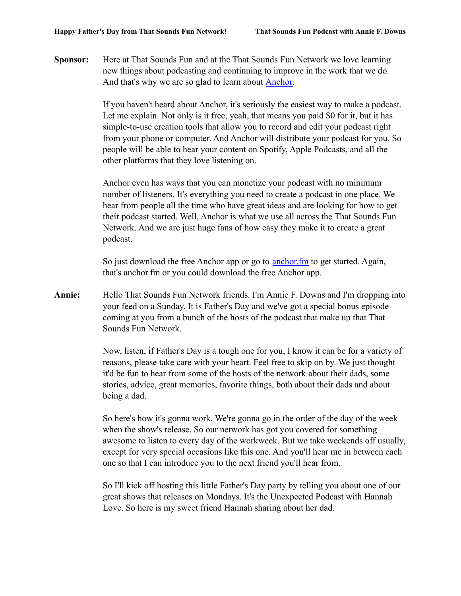**Sponsor:** Here at That Sounds Fun and at the That Sounds Fun Network we love learning new things about podcasting and continuing to improve in the work that we do. And that's why we are so glad to learn about **Anchor**.

> If you haven't heard about Anchor, it's seriously the easiest way to make a podcast. Let me explain. Not only is it free, yeah, that means you paid \$0 for it, but it has simple-to-use creation tools that allow you to record and edit your podcast right from your phone or computer. And Anchor will distribute your podcast for you. So people will be able to hear your content on Spotify, Apple Podcasts, and all the other platforms that they love listening on.

Anchor even has ways that you can monetize your podcast with no minimum number of listeners. It's everything you need to create a podcast in one place. We hear from people all the time who have great ideas and are looking for how to get their podcast started. Well, Anchor is what we use all across the That Sounds Fun Network. And we are just huge fans of how easy they make it to create a great podcast.

So just download the free Anchor app or go to [anchor.fm](http://www.anchor.fm) to get started. Again, that's anchor.fm or you could download the free Anchor app.

**Annie:** Hello That Sounds Fun Network friends. I'm Annie F. Downs and I'm dropping into your feed on a Sunday. It is Father's Day and we've got a special bonus episode coming at you from a bunch of the hosts of the podcast that make up that That Sounds Fun Network.

> Now, listen, if Father's Day is a tough one for you, I know it can be for a variety of reasons, please take care with your heart. Feel free to skip on by. We just thought it'd be fun to hear from some of the hosts of the network about their dads, some stories, advice, great memories, favorite things, both about their dads and about being a dad.

> So here's how it's gonna work. We're gonna go in the order of the day of the week when the show's release. So our network has got you covered for something awesome to listen to every day of the workweek. But we take weekends off usually, except for very special occasions like this one. And you'll hear me in between each one so that I can introduce you to the next friend you'll hear from.

So I'll kick off hosting this little Father's Day party by telling you about one of our great shows that releases on Mondays. It's the Unexpected Podcast with Hannah Love. So here is my sweet friend Hannah sharing about her dad.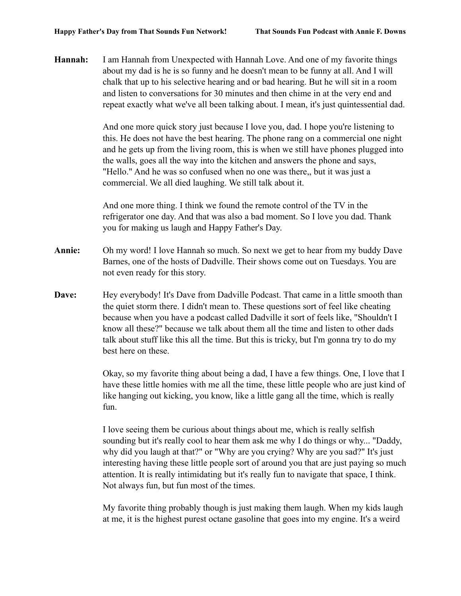**Hannah:** I am Hannah from Unexpected with Hannah Love. And one of my favorite things about my dad is he is so funny and he doesn't mean to be funny at all. And I will chalk that up to his selective hearing and or bad hearing. But he will sit in a room and listen to conversations for 30 minutes and then chime in at the very end and repeat exactly what we've all been talking about. I mean, it's just quintessential dad.

> And one more quick story just because I love you, dad. I hope you're listening to this. He does not have the best hearing. The phone rang on a commercial one night and he gets up from the living room, this is when we still have phones plugged into the walls, goes all the way into the kitchen and answers the phone and says, "Hello." And he was so confused when no one was there,, but it was just a commercial. We all died laughing. We still talk about it.

And one more thing. I think we found the remote control of the TV in the refrigerator one day. And that was also a bad moment. So I love you dad. Thank you for making us laugh and Happy Father's Day.

- **Annie:** Oh my word! I love Hannah so much. So next we get to hear from my buddy Dave Barnes, one of the hosts of Dadville. Their shows come out on Tuesdays. You are not even ready for this story.
- **Dave:** Hey everybody! It's Dave from Dadville Podcast. That came in a little smooth than the quiet storm there. I didn't mean to. These questions sort of feel like cheating because when you have a podcast called Dadville it sort of feels like, "Shouldn't I know all these?" because we talk about them all the time and listen to other dads talk about stuff like this all the time. But this is tricky, but I'm gonna try to do my best here on these.

Okay, so my favorite thing about being a dad, I have a few things. One, I love that I have these little homies with me all the time, these little people who are just kind of like hanging out kicking, you know, like a little gang all the time, which is really fun.

I love seeing them be curious about things about me, which is really selfish sounding but it's really cool to hear them ask me why I do things or why... "Daddy, why did you laugh at that?" or "Why are you crying? Why are you sad?" It's just interesting having these little people sort of around you that are just paying so much attention. It is really intimidating but it's really fun to navigate that space, I think. Not always fun, but fun most of the times.

My favorite thing probably though is just making them laugh. When my kids laugh at me, it is the highest purest octane gasoline that goes into my engine. It's a weird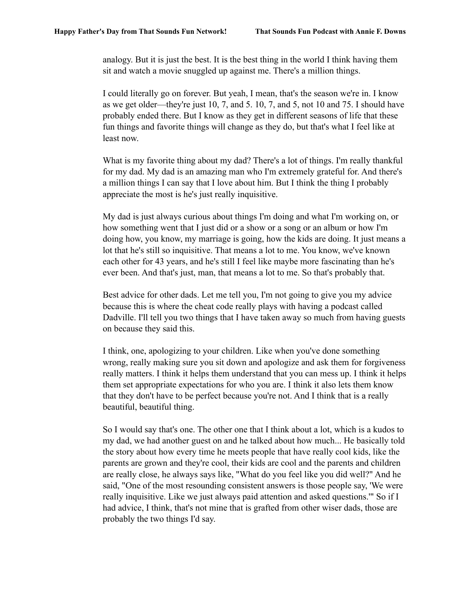analogy. But it is just the best. It is the best thing in the world I think having them sit and watch a movie snuggled up against me. There's a million things.

I could literally go on forever. But yeah, I mean, that's the season we're in. I know as we get older—they're just 10, 7, and 5. 10, 7, and 5, not 10 and 75. I should have probably ended there. But I know as they get in different seasons of life that these fun things and favorite things will change as they do, but that's what I feel like at least now.

What is my favorite thing about my dad? There's a lot of things. I'm really thankful for my dad. My dad is an amazing man who I'm extremely grateful for. And there's a million things I can say that I love about him. But I think the thing I probably appreciate the most is he's just really inquisitive.

My dad is just always curious about things I'm doing and what I'm working on, or how something went that I just did or a show or a song or an album or how I'm doing how, you know, my marriage is going, how the kids are doing. It just means a lot that he's still so inquisitive. That means a lot to me. You know, we've known each other for 43 years, and he's still I feel like maybe more fascinating than he's ever been. And that's just, man, that means a lot to me. So that's probably that.

Best advice for other dads. Let me tell you, I'm not going to give you my advice because this is where the cheat code really plays with having a podcast called Dadville. I'll tell you two things that I have taken away so much from having guests on because they said this.

I think, one, apologizing to your children. Like when you've done something wrong, really making sure you sit down and apologize and ask them for forgiveness really matters. I think it helps them understand that you can mess up. I think it helps them set appropriate expectations for who you are. I think it also lets them know that they don't have to be perfect because you're not. And I think that is a really beautiful, beautiful thing.

So I would say that's one. The other one that I think about a lot, which is a kudos to my dad, we had another guest on and he talked about how much... He basically told the story about how every time he meets people that have really cool kids, like the parents are grown and they're cool, their kids are cool and the parents and children are really close, he always says like, "What do you feel like you did well?" And he said, "One of the most resounding consistent answers is those people say, 'We were really inquisitive. Like we just always paid attention and asked questions.'" So if I had advice, I think, that's not mine that is grafted from other wiser dads, those are probably the two things I'd say.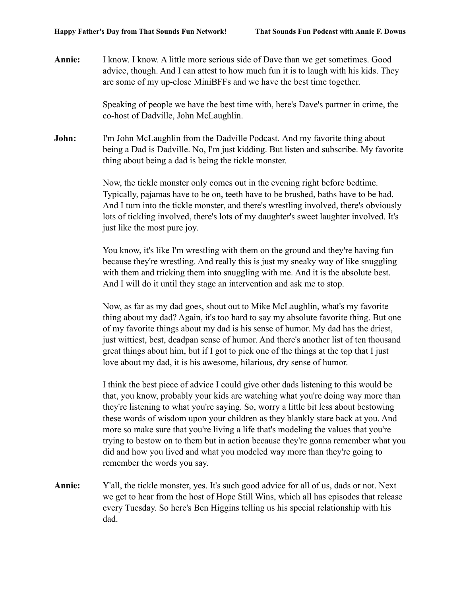**Annie:** I know. I know. A little more serious side of Dave than we get sometimes. Good advice, though. And I can attest to how much fun it is to laugh with his kids. They are some of my up-close MiniBFFs and we have the best time together.

> Speaking of people we have the best time with, here's Dave's partner in crime, the co-host of Dadville, John McLaughlin.

**John:** I'm John McLaughlin from the Dadville Podcast. And my favorite thing about being a Dad is Dadville. No, I'm just kidding. But listen and subscribe. My favorite thing about being a dad is being the tickle monster.

> Now, the tickle monster only comes out in the evening right before bedtime. Typically, pajamas have to be on, teeth have to be brushed, baths have to be had. And I turn into the tickle monster, and there's wrestling involved, there's obviously lots of tickling involved, there's lots of my daughter's sweet laughter involved. It's just like the most pure joy.

You know, it's like I'm wrestling with them on the ground and they're having fun because they're wrestling. And really this is just my sneaky way of like snuggling with them and tricking them into snuggling with me. And it is the absolute best. And I will do it until they stage an intervention and ask me to stop.

Now, as far as my dad goes, shout out to Mike McLaughlin, what's my favorite thing about my dad? Again, it's too hard to say my absolute favorite thing. But one of my favorite things about my dad is his sense of humor. My dad has the driest, just wittiest, best, deadpan sense of humor. And there's another list of ten thousand great things about him, but if I got to pick one of the things at the top that I just love about my dad, it is his awesome, hilarious, dry sense of humor.

I think the best piece of advice I could give other dads listening to this would be that, you know, probably your kids are watching what you're doing way more than they're listening to what you're saying. So, worry a little bit less about bestowing these words of wisdom upon your children as they blankly stare back at you. And more so make sure that you're living a life that's modeling the values that you're trying to bestow on to them but in action because they're gonna remember what you did and how you lived and what you modeled way more than they're going to remember the words you say.

**Annie:** Y'all, the tickle monster, yes. It's such good advice for all of us, dads or not. Next we get to hear from the host of Hope Still Wins, which all has episodes that release every Tuesday. So here's Ben Higgins telling us his special relationship with his dad.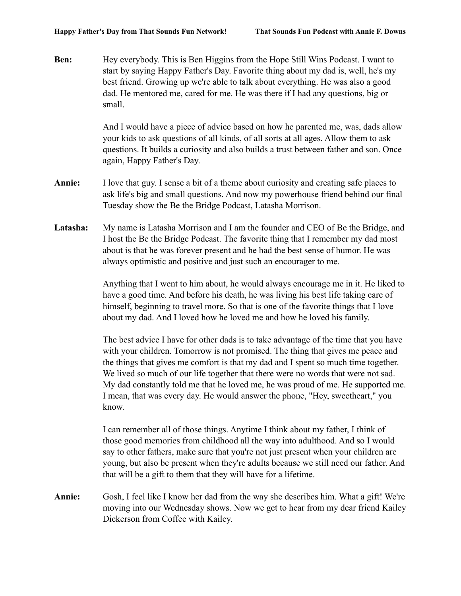**Ben:** Hey everybody. This is Ben Higgins from the Hope Still Wins Podcast. I want to start by saying Happy Father's Day. Favorite thing about my dad is, well, he's my best friend. Growing up we're able to talk about everything. He was also a good dad. He mentored me, cared for me. He was there if I had any questions, big or small.

> And I would have a piece of advice based on how he parented me, was, dads allow your kids to ask questions of all kinds, of all sorts at all ages. Allow them to ask questions. It builds a curiosity and also builds a trust between father and son. Once again, Happy Father's Day.

- **Annie:** I love that guy. I sense a bit of a theme about curiosity and creating safe places to ask life's big and small questions. And now my powerhouse friend behind our final Tuesday show the Be the Bridge Podcast, Latasha Morrison.
- **Latasha:** My name is Latasha Morrison and I am the founder and CEO of Be the Bridge, and I host the Be the Bridge Podcast. The favorite thing that I remember my dad most about is that he was forever present and he had the best sense of humor. He was always optimistic and positive and just such an encourager to me.

Anything that I went to him about, he would always encourage me in it. He liked to have a good time. And before his death, he was living his best life taking care of himself, beginning to travel more. So that is one of the favorite things that I love about my dad. And I loved how he loved me and how he loved his family.

The best advice I have for other dads is to take advantage of the time that you have with your children. Tomorrow is not promised. The thing that gives me peace and the things that gives me comfort is that my dad and I spent so much time together. We lived so much of our life together that there were no words that were not sad. My dad constantly told me that he loved me, he was proud of me. He supported me. I mean, that was every day. He would answer the phone, "Hey, sweetheart," you know.

I can remember all of those things. Anytime I think about my father, I think of those good memories from childhood all the way into adulthood. And so I would say to other fathers, make sure that you're not just present when your children are young, but also be present when they're adults because we still need our father. And that will be a gift to them that they will have for a lifetime.

**Annie:** Gosh, I feel like I know her dad from the way she describes him. What a gift! We're moving into our Wednesday shows. Now we get to hear from my dear friend Kailey Dickerson from Coffee with Kailey.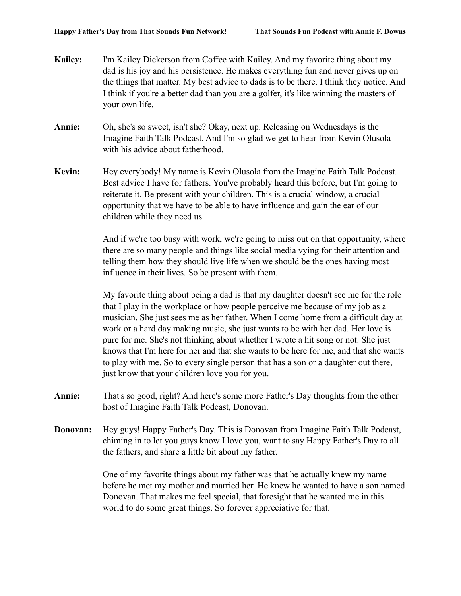- **Kailey:** I'm Kailey Dickerson from Coffee with Kailey. And my favorite thing about my dad is his joy and his persistence. He makes everything fun and never gives up on the things that matter. My best advice to dads is to be there. I think they notice. And I think if you're a better dad than you are a golfer, it's like winning the masters of your own life.
- **Annie:** Oh, she's so sweet, isn't she? Okay, next up. Releasing on Wednesdays is the Imagine Faith Talk Podcast. And I'm so glad we get to hear from Kevin Olusola with his advice about fatherhood.
- **Kevin:** Hey everybody! My name is Kevin Olusola from the Imagine Faith Talk Podcast. Best advice I have for fathers. You've probably heard this before, but I'm going to reiterate it. Be present with your children. This is a crucial window, a crucial opportunity that we have to be able to have influence and gain the ear of our children while they need us.

And if we're too busy with work, we're going to miss out on that opportunity, where there are so many people and things like social media vying for their attention and telling them how they should live life when we should be the ones having most influence in their lives. So be present with them.

My favorite thing about being a dad is that my daughter doesn't see me for the role that I play in the workplace or how people perceive me because of my job as a musician. She just sees me as her father. When I come home from a difficult day at work or a hard day making music, she just wants to be with her dad. Her love is pure for me. She's not thinking about whether I wrote a hit song or not. She just knows that I'm here for her and that she wants to be here for me, and that she wants to play with me. So to every single person that has a son or a daughter out there, just know that your children love you for you.

- **Annie:** That's so good, right? And here's some more Father's Day thoughts from the other host of Imagine Faith Talk Podcast, Donovan.
- **Donovan:** Hey guys! Happy Father's Day. This is Donovan from Imagine Faith Talk Podcast, chiming in to let you guys know I love you, want to say Happy Father's Day to all the fathers, and share a little bit about my father.

One of my favorite things about my father was that he actually knew my name before he met my mother and married her. He knew he wanted to have a son named Donovan. That makes me feel special, that foresight that he wanted me in this world to do some great things. So forever appreciative for that.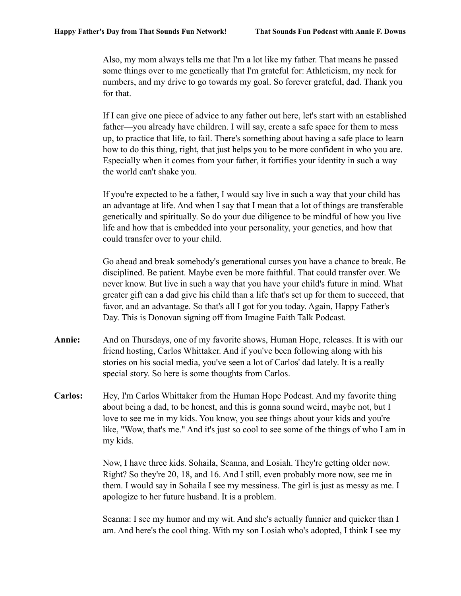Also, my mom always tells me that I'm a lot like my father. That means he passed some things over to me genetically that I'm grateful for: Athleticism, my neck for numbers, and my drive to go towards my goal. So forever grateful, dad. Thank you for that.

If I can give one piece of advice to any father out here, let's start with an established father—you already have children. I will say, create a safe space for them to mess up, to practice that life, to fail. There's something about having a safe place to learn how to do this thing, right, that just helps you to be more confident in who you are. Especially when it comes from your father, it fortifies your identity in such a way the world can't shake you.

If you're expected to be a father, I would say live in such a way that your child has an advantage at life. And when I say that I mean that a lot of things are transferable genetically and spiritually. So do your due diligence to be mindful of how you live life and how that is embedded into your personality, your genetics, and how that could transfer over to your child.

Go ahead and break somebody's generational curses you have a chance to break. Be disciplined. Be patient. Maybe even be more faithful. That could transfer over. We never know. But live in such a way that you have your child's future in mind. What greater gift can a dad give his child than a life that's set up for them to succeed, that favor, and an advantage. So that's all I got for you today. Again, Happy Father's Day. This is Donovan signing off from Imagine Faith Talk Podcast.

- **Annie:** And on Thursdays, one of my favorite shows, Human Hope, releases. It is with our friend hosting, Carlos Whittaker. And if you've been following along with his stories on his social media, you've seen a lot of Carlos' dad lately. It is a really special story. So here is some thoughts from Carlos.
- **Carlos:** Hey, I'm Carlos Whittaker from the Human Hope Podcast. And my favorite thing about being a dad, to be honest, and this is gonna sound weird, maybe not, but I love to see me in my kids. You know, you see things about your kids and you're like, "Wow, that's me." And it's just so cool to see some of the things of who I am in my kids.

Now, I have three kids. Sohaila, Seanna, and Losiah. They're getting older now. Right? So they're 20, 18, and 16. And I still, even probably more now, see me in them. I would say in Sohaila I see my messiness. The girl is just as messy as me. I apologize to her future husband. It is a problem.

Seanna: I see my humor and my wit. And she's actually funnier and quicker than I am. And here's the cool thing. With my son Losiah who's adopted, I think I see my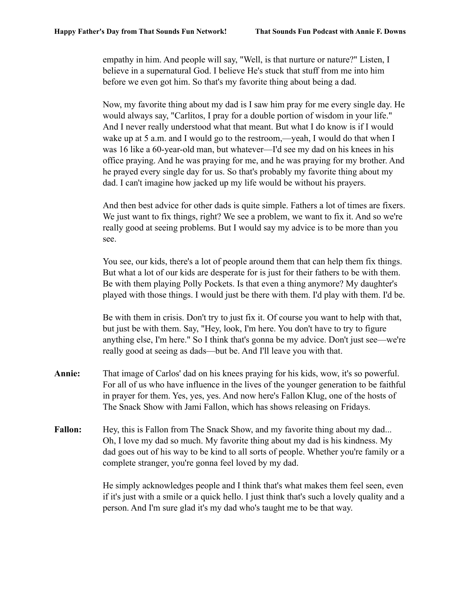empathy in him. And people will say, "Well, is that nurture or nature?" Listen, I believe in a supernatural God. I believe He's stuck that stuff from me into him before we even got him. So that's my favorite thing about being a dad.

Now, my favorite thing about my dad is I saw him pray for me every single day. He would always say, "Carlitos, I pray for a double portion of wisdom in your life." And I never really understood what that meant. But what I do know is if I would wake up at 5 a.m. and I would go to the restroom,—yeah, I would do that when I was 16 like a 60-year-old man, but whatever—I'd see my dad on his knees in his office praying. And he was praying for me, and he was praying for my brother. And he prayed every single day for us. So that's probably my favorite thing about my dad. I can't imagine how jacked up my life would be without his prayers.

And then best advice for other dads is quite simple. Fathers a lot of times are fixers. We just want to fix things, right? We see a problem, we want to fix it. And so we're really good at seeing problems. But I would say my advice is to be more than you see.

You see, our kids, there's a lot of people around them that can help them fix things. But what a lot of our kids are desperate for is just for their fathers to be with them. Be with them playing Polly Pockets. Is that even a thing anymore? My daughter's played with those things. I would just be there with them. I'd play with them. I'd be.

Be with them in crisis. Don't try to just fix it. Of course you want to help with that, but just be with them. Say, "Hey, look, I'm here. You don't have to try to figure anything else, I'm here." So I think that's gonna be my advice. Don't just see—we're really good at seeing as dads—but be. And I'll leave you with that.

- **Annie:** That image of Carlos' dad on his knees praying for his kids, wow, it's so powerful. For all of us who have influence in the lives of the younger generation to be faithful in prayer for them. Yes, yes, yes. And now here's Fallon Klug, one of the hosts of The Snack Show with Jami Fallon, which has shows releasing on Fridays.
- **Fallon:** Hey, this is Fallon from The Snack Show, and my favorite thing about my dad... Oh, I love my dad so much. My favorite thing about my dad is his kindness. My dad goes out of his way to be kind to all sorts of people. Whether you're family or a complete stranger, you're gonna feel loved by my dad.

He simply acknowledges people and I think that's what makes them feel seen, even if it's just with a smile or a quick hello. I just think that's such a lovely quality and a person. And I'm sure glad it's my dad who's taught me to be that way.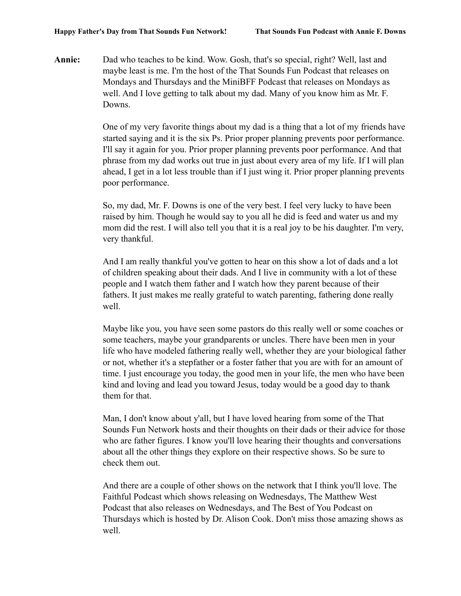**Annie:** Dad who teaches to be kind. Wow. Gosh, that's so special, right? Well, last and maybe least is me. I'm the host of the That Sounds Fun Podcast that releases on Mondays and Thursdays and the MiniBFF Podcast that releases on Mondays as well. And I love getting to talk about my dad. Many of you know him as Mr. F. Downs.

> One of my very favorite things about my dad is a thing that a lot of my friends have started saying and it is the six Ps. Prior proper planning prevents poor performance. I'll say it again for you. Prior proper planning prevents poor performance. And that phrase from my dad works out true in just about every area of my life. If I will plan ahead, I get in a lot less trouble than if I just wing it. Prior proper planning prevents poor performance.

> So, my dad, Mr. F. Downs is one of the very best. I feel very lucky to have been raised by him. Though he would say to you all he did is feed and water us and my mom did the rest. I will also tell you that it is a real joy to be his daughter. I'm very, very thankful.

And I am really thankful you've gotten to hear on this show a lot of dads and a lot of children speaking about their dads. And I live in community with a lot of these people and I watch them father and I watch how they parent because of their fathers. It just makes me really grateful to watch parenting, fathering done really well.

Maybe like you, you have seen some pastors do this really well or some coaches or some teachers, maybe your grandparents or uncles. There have been men in your life who have modeled fathering really well, whether they are your biological father or not, whether it's a stepfather or a foster father that you are with for an amount of time. I just encourage you today, the good men in your life, the men who have been kind and loving and lead you toward Jesus, today would be a good day to thank them for that.

Man, I don't know about y'all, but I have loved hearing from some of the That Sounds Fun Network hosts and their thoughts on their dads or their advice for those who are father figures. I know you'll love hearing their thoughts and conversations about all the other things they explore on their respective shows. So be sure to check them out.

And there are a couple of other shows on the network that I think you'll love. The Faithful Podcast which shows releasing on Wednesdays, The Matthew West Podcast that also releases on Wednesdays, and The Best of You Podcast on Thursdays which is hosted by Dr. Alison Cook. Don't miss those amazing shows as well.